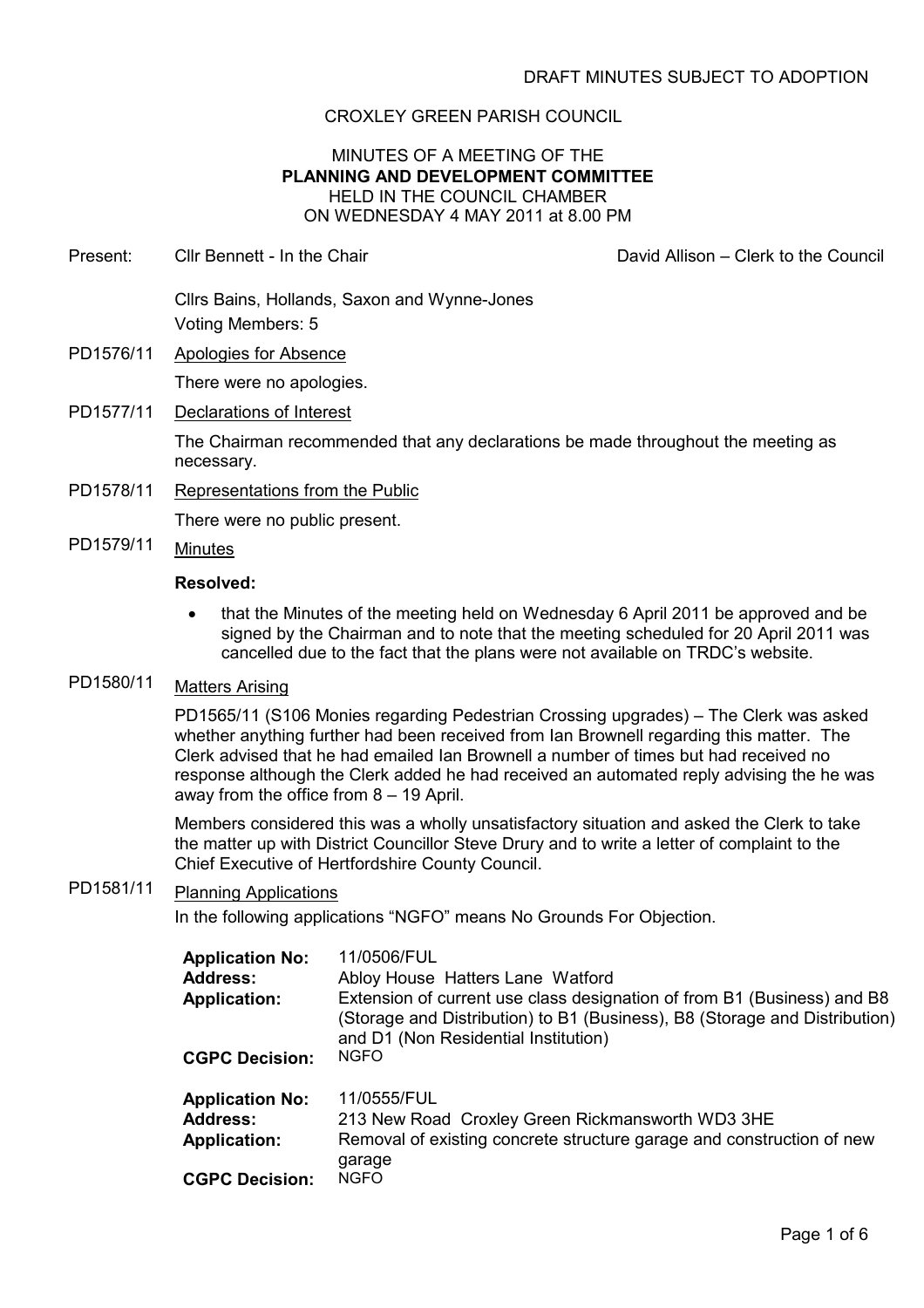# CROXLEY GREEN PARISH COUNCIL

### MINUTES OF A MEETING OF THE PLANNING AND DEVELOPMENT COMMITTEE HELD IN THE COUNCIL CHAMBER ON WEDNESDAY 4 MAY 2011 at 8.00 PM

Present: Cllr Bennett - In the Chair David Allison – Clerk to the Council Cllrs Bains, Hollands, Saxon and Wynne-Jones

Voting Members: 5

PD1576/11 Apologies for Absence There were no apologies.

# PD1577/11 Declarations of Interest

The Chairman recommended that any declarations be made throughout the meeting as necessary.

PD1578/11 Representations from the Public

There were no public present.

PD1579/11 Minutes

### Resolved:

• that the Minutes of the meeting held on Wednesday 6 April 2011 be approved and be signed by the Chairman and to note that the meeting scheduled for 20 April 2011 was cancelled due to the fact that the plans were not available on TRDC's website.

# PD1580/11 Matters Arising

PD1565/11 (S106 Monies regarding Pedestrian Crossing upgrades) – The Clerk was asked whether anything further had been received from Ian Brownell regarding this matter. The Clerk advised that he had emailed Ian Brownell a number of times but had received no response although the Clerk added he had received an automated reply advising the he was away from the office from 8 – 19 April.

Members considered this was a wholly unsatisfactory situation and asked the Clerk to take the matter up with District Councillor Steve Drury and to write a letter of complaint to the Chief Executive of Hertfordshire County Council.

# PD1581/11 Planning Applications

In the following applications "NGFO" means No Grounds For Objection.

| <b>Application No:</b> | 11/0506/FUL                                                                                                                                                                                   |
|------------------------|-----------------------------------------------------------------------------------------------------------------------------------------------------------------------------------------------|
| <b>Address:</b>        | Abloy House Hatters Lane Watford                                                                                                                                                              |
| <b>Application:</b>    | Extension of current use class designation of from B1 (Business) and B8<br>(Storage and Distribution) to B1 (Business), B8 (Storage and Distribution)<br>and D1 (Non Residential Institution) |
| <b>CGPC Decision:</b>  | <b>NGFO</b>                                                                                                                                                                                   |
| <b>Application No:</b> | 11/0555/FUL                                                                                                                                                                                   |
| <b>Address:</b>        | 213 New Road Croxley Green Rickmansworth WD3 3HE                                                                                                                                              |
| <b>Application:</b>    | Removal of existing concrete structure garage and construction of new<br>garage                                                                                                               |
| <b>CGPC Decision:</b>  | <b>NGFO</b>                                                                                                                                                                                   |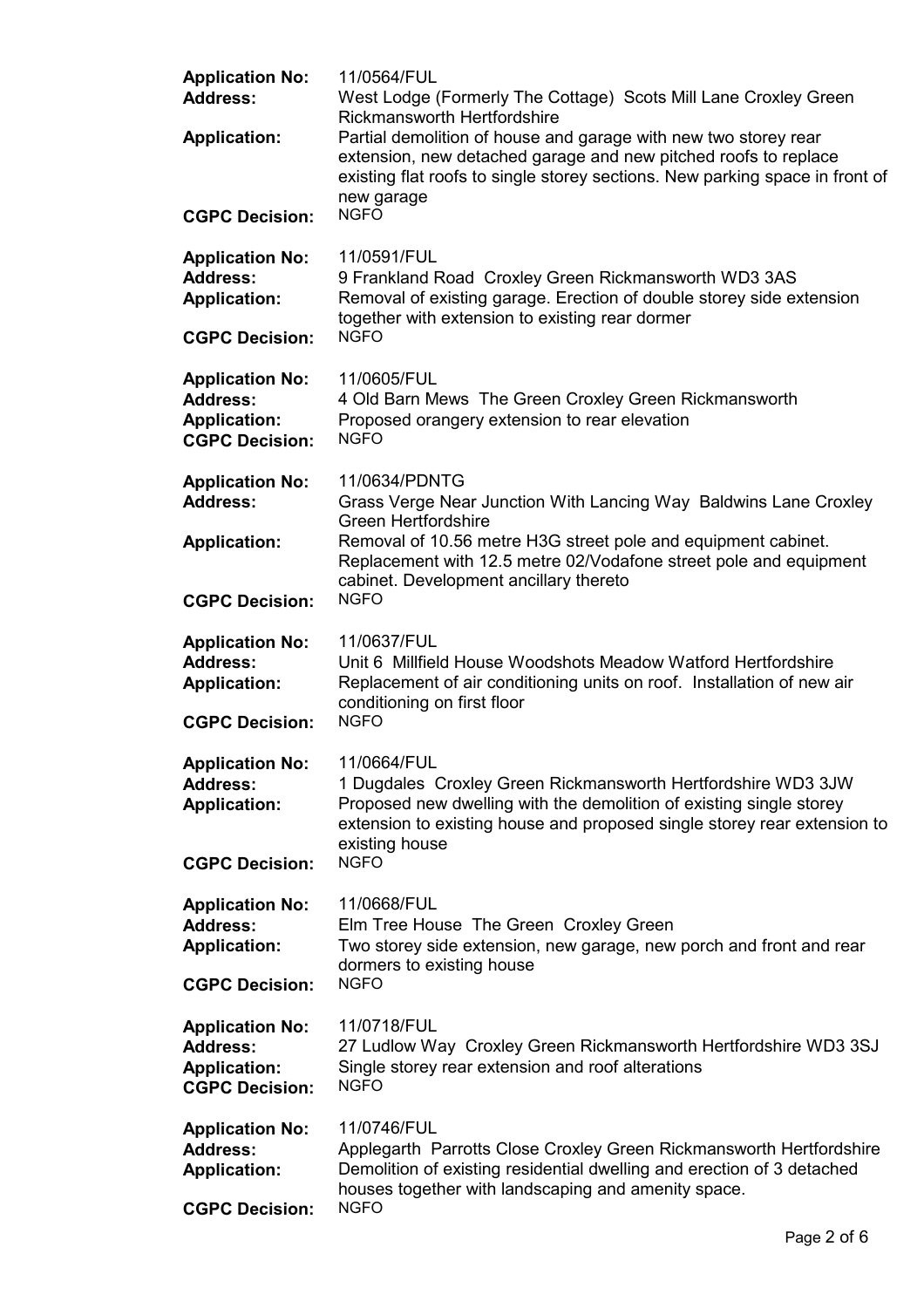| <b>Application No:</b><br><b>Address:</b><br><b>Application:</b>                          | 11/0564/FUL<br>West Lodge (Formerly The Cottage) Scots Mill Lane Croxley Green<br><b>Rickmansworth Hertfordshire</b><br>Partial demolition of house and garage with new two storey rear<br>extension, new detached garage and new pitched roofs to replace<br>existing flat roofs to single storey sections. New parking space in front of<br>new garage |  |
|-------------------------------------------------------------------------------------------|----------------------------------------------------------------------------------------------------------------------------------------------------------------------------------------------------------------------------------------------------------------------------------------------------------------------------------------------------------|--|
| <b>CGPC Decision:</b>                                                                     | <b>NGFO</b>                                                                                                                                                                                                                                                                                                                                              |  |
| <b>Application No:</b><br><b>Address:</b><br><b>Application:</b>                          | 11/0591/FUL<br>9 Frankland Road Croxley Green Rickmansworth WD3 3AS<br>Removal of existing garage. Erection of double storey side extension<br>together with extension to existing rear dormer                                                                                                                                                           |  |
| <b>CGPC Decision:</b>                                                                     | <b>NGFO</b>                                                                                                                                                                                                                                                                                                                                              |  |
| <b>Application No:</b><br><b>Address:</b><br><b>Application:</b><br><b>CGPC Decision:</b> | 11/0605/FUL<br>4 Old Barn Mews The Green Croxley Green Rickmansworth<br>Proposed orangery extension to rear elevation<br><b>NGFO</b>                                                                                                                                                                                                                     |  |
| <b>Application No:</b><br><b>Address:</b>                                                 | 11/0634/PDNTG<br>Grass Verge Near Junction With Lancing Way Baldwins Lane Croxley<br><b>Green Hertfordshire</b>                                                                                                                                                                                                                                          |  |
| <b>Application:</b>                                                                       | Removal of 10.56 metre H3G street pole and equipment cabinet.<br>Replacement with 12.5 metre 02/Vodafone street pole and equipment<br>cabinet. Development ancillary thereto                                                                                                                                                                             |  |
| <b>CGPC Decision:</b>                                                                     | <b>NGFO</b>                                                                                                                                                                                                                                                                                                                                              |  |
| <b>Application No:</b><br><b>Address:</b><br><b>Application:</b>                          | 11/0637/FUL<br>Unit 6 Millfield House Woodshots Meadow Watford Hertfordshire<br>Replacement of air conditioning units on roof. Installation of new air<br>conditioning on first floor                                                                                                                                                                    |  |
| <b>CGPC Decision:</b>                                                                     | <b>NGFO</b>                                                                                                                                                                                                                                                                                                                                              |  |
| <b>Application No:</b><br><b>Address:</b><br><b>Application:</b><br><b>CGPC Decision:</b> | 11/0664/FUL<br>1 Dugdales Croxley Green Rickmansworth Hertfordshire WD3 3JW<br>Proposed new dwelling with the demolition of existing single storey<br>extension to existing house and proposed single storey rear extension to<br>existing house<br><b>NGFO</b>                                                                                          |  |
|                                                                                           |                                                                                                                                                                                                                                                                                                                                                          |  |
| <b>Application No:</b><br><b>Address:</b><br><b>Application:</b>                          | 11/0668/FUL<br>Elm Tree House The Green Croxley Green<br>Two storey side extension, new garage, new porch and front and rear<br>dormers to existing house                                                                                                                                                                                                |  |
| <b>CGPC Decision:</b>                                                                     | <b>NGFO</b>                                                                                                                                                                                                                                                                                                                                              |  |
| <b>Application No:</b><br><b>Address:</b><br><b>Application:</b><br><b>CGPC Decision:</b> | 11/0718/FUL<br>27 Ludlow Way Croxley Green Rickmansworth Hertfordshire WD3 3SJ<br>Single storey rear extension and roof alterations<br><b>NGFO</b>                                                                                                                                                                                                       |  |
| <b>Application No:</b><br><b>Address:</b><br><b>Application:</b><br><b>CGPC Decision:</b> | 11/0746/FUL<br>Applegarth Parrotts Close Croxley Green Rickmansworth Hertfordshire<br>Demolition of existing residential dwelling and erection of 3 detached<br>houses together with landscaping and amenity space.<br><b>NGFO</b>                                                                                                                       |  |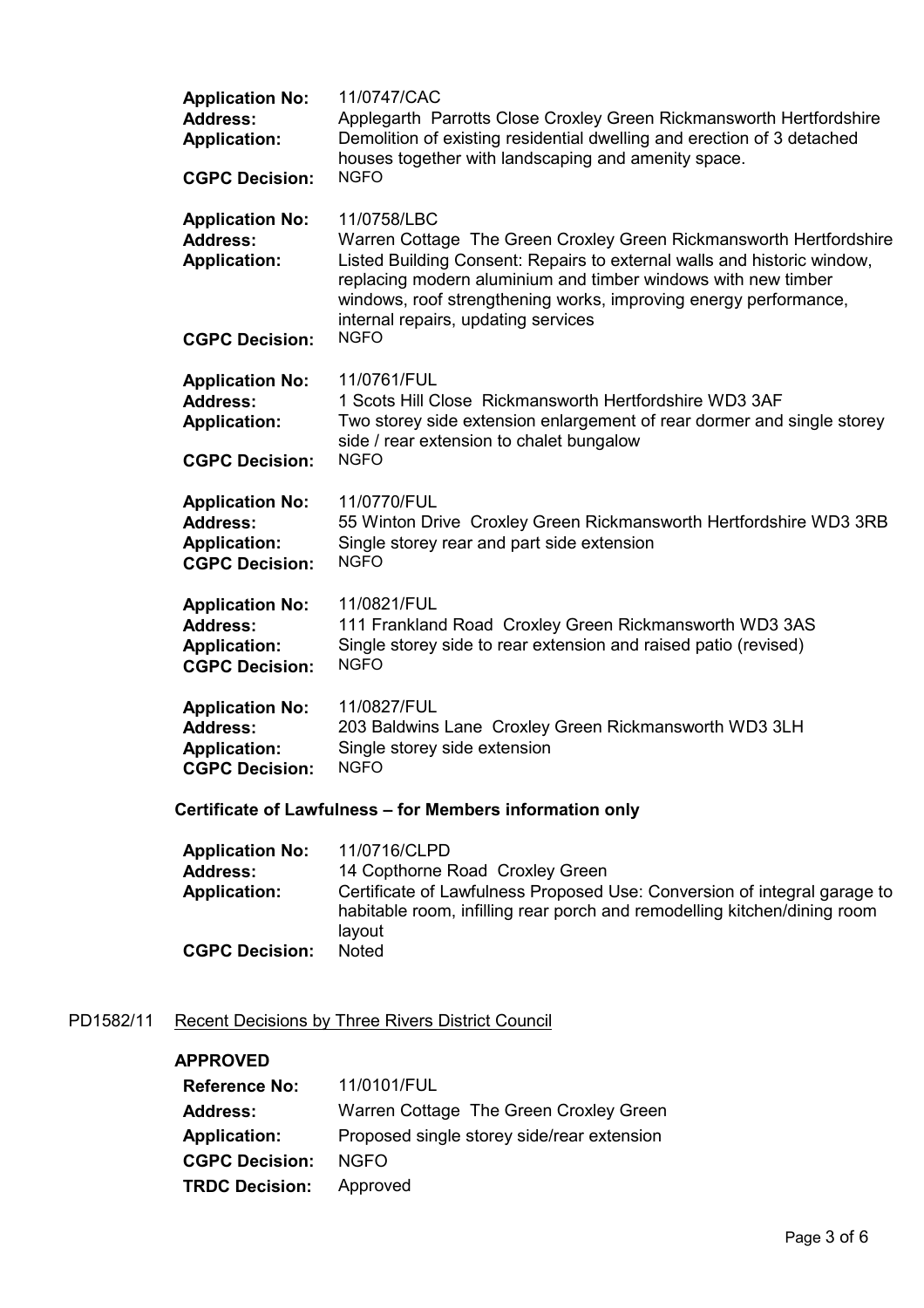| <b>Application No:</b><br><b>Address:</b><br><b>Application:</b>                          | 11/0747/CAC<br>Applegarth Parrotts Close Croxley Green Rickmansworth Hertfordshire<br>Demolition of existing residential dwelling and erection of 3 detached<br>houses together with landscaping and amenity space.<br><b>NGFO</b>                                                                                                                      |
|-------------------------------------------------------------------------------------------|---------------------------------------------------------------------------------------------------------------------------------------------------------------------------------------------------------------------------------------------------------------------------------------------------------------------------------------------------------|
| <b>CGPC Decision:</b>                                                                     |                                                                                                                                                                                                                                                                                                                                                         |
| <b>Application No:</b><br><b>Address:</b><br><b>Application:</b><br><b>CGPC Decision:</b> | 11/0758/LBC<br>Warren Cottage The Green Croxley Green Rickmansworth Hertfordshire<br>Listed Building Consent: Repairs to external walls and historic window,<br>replacing modern aluminium and timber windows with new timber<br>windows, roof strengthening works, improving energy performance,<br>internal repairs, updating services<br><b>NGFO</b> |
| <b>Application No:</b><br><b>Address:</b><br><b>Application:</b><br><b>CGPC Decision:</b> | 11/0761/FUL<br>1 Scots Hill Close Rickmansworth Hertfordshire WD3 3AF<br>Two storey side extension enlargement of rear dormer and single storey<br>side / rear extension to chalet bungalow<br><b>NGFO</b>                                                                                                                                              |
| <b>Application No:</b><br><b>Address:</b><br><b>Application:</b><br><b>CGPC Decision:</b> | 11/0770/FUL<br>55 Winton Drive Croxley Green Rickmansworth Hertfordshire WD3 3RB<br>Single storey rear and part side extension<br><b>NGFO</b>                                                                                                                                                                                                           |
| <b>Application No:</b><br><b>Address:</b><br><b>Application:</b><br><b>CGPC Decision:</b> | 11/0821/FUL<br>111 Frankland Road Croxley Green Rickmansworth WD3 3AS<br>Single storey side to rear extension and raised patio (revised)<br><b>NGFO</b>                                                                                                                                                                                                 |
| <b>Application No:</b><br><b>Address:</b><br><b>Application:</b><br><b>CGPC Decision:</b> | 11/0827/FUL<br>203 Baldwins Lane Croxley Green Rickmansworth WD3 3LH<br>Single storey side extension<br><b>NGFO</b>                                                                                                                                                                                                                                     |
| Certificate of Lawfulness - for Members information only                                  |                                                                                                                                                                                                                                                                                                                                                         |

| <b>Application No:</b> | 11/0716/CLPD                                                                                                                                                   |
|------------------------|----------------------------------------------------------------------------------------------------------------------------------------------------------------|
| <b>Address:</b>        | 14 Copthorne Road Croxley Green                                                                                                                                |
| <b>Application:</b>    | Certificate of Lawfulness Proposed Use: Conversion of integral garage to<br>habitable room, infilling rear porch and remodelling kitchen/dining room<br>layout |
| <b>CGPC Decision:</b>  | <b>Noted</b>                                                                                                                                                   |

# PD1582/11 Recent Decisions by Three Rivers District Council

# APPROVED

| <b>Reference No:</b>  | 11/0101/FUL                                |
|-----------------------|--------------------------------------------|
| <b>Address:</b>       | Warren Cottage The Green Croxley Green     |
| <b>Application:</b>   | Proposed single storey side/rear extension |
| <b>CGPC Decision:</b> | NGFO.                                      |
| <b>TRDC Decision:</b> | Approved                                   |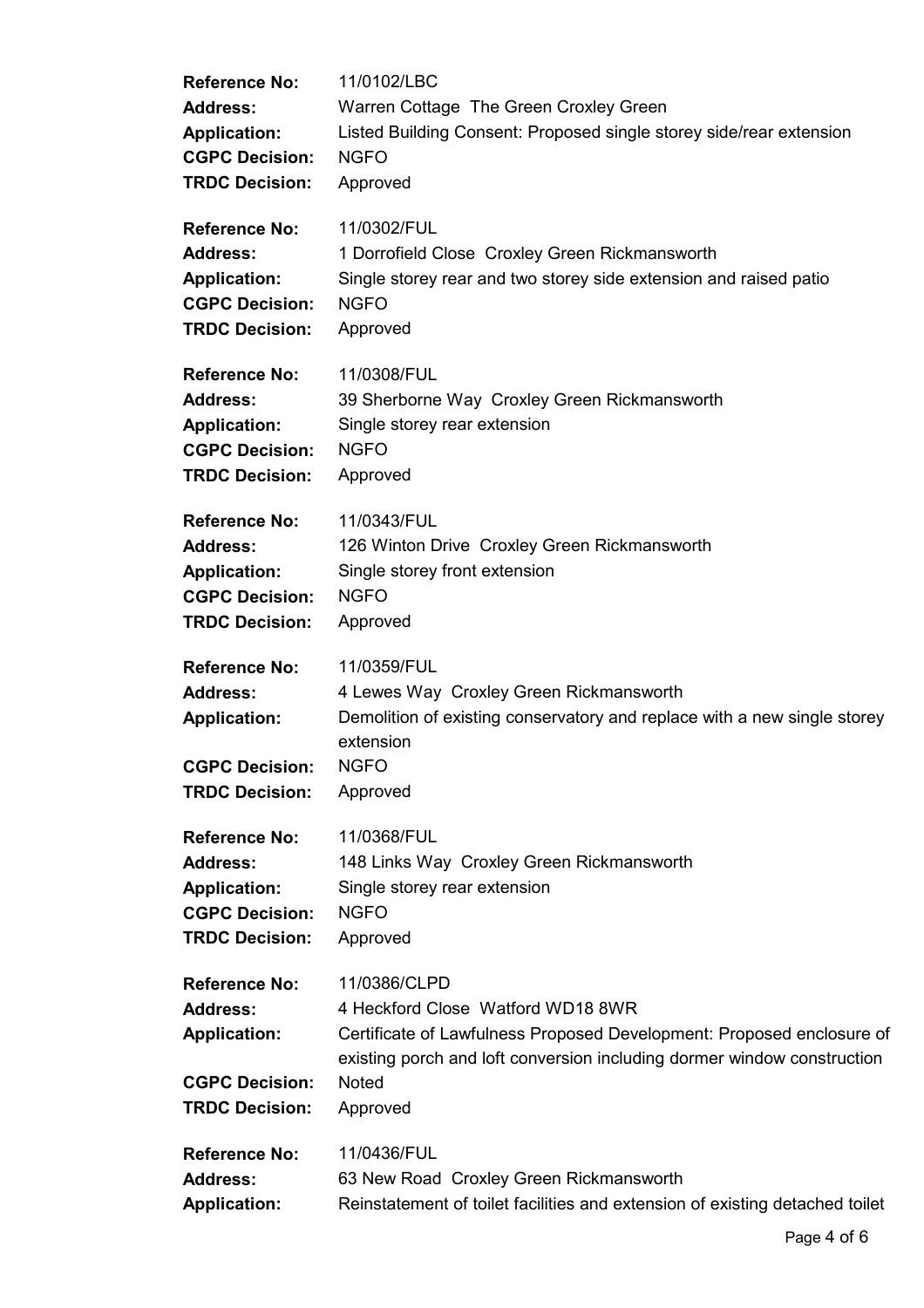| <b>Reference No:</b>                                                                                             | 11/0102/LBC                                                                                                                                                                                                                       |
|------------------------------------------------------------------------------------------------------------------|-----------------------------------------------------------------------------------------------------------------------------------------------------------------------------------------------------------------------------------|
| <b>Address:</b>                                                                                                  | Warren Cottage The Green Croxley Green                                                                                                                                                                                            |
| <b>Application:</b>                                                                                              | Listed Building Consent: Proposed single storey side/rear extension                                                                                                                                                               |
| <b>CGPC Decision:</b>                                                                                            | <b>NGFO</b>                                                                                                                                                                                                                       |
| <b>TRDC Decision:</b>                                                                                            | Approved                                                                                                                                                                                                                          |
| <b>Reference No:</b>                                                                                             | 11/0302/FUL                                                                                                                                                                                                                       |
| <b>Address:</b>                                                                                                  | 1 Dorrofield Close Croxley Green Rickmansworth                                                                                                                                                                                    |
| <b>Application:</b>                                                                                              | Single storey rear and two storey side extension and raised patio                                                                                                                                                                 |
| <b>CGPC Decision:</b>                                                                                            | <b>NGFO</b>                                                                                                                                                                                                                       |
| <b>TRDC Decision:</b>                                                                                            | Approved                                                                                                                                                                                                                          |
| <b>Reference No:</b>                                                                                             | 11/0308/FUL                                                                                                                                                                                                                       |
| <b>Address:</b>                                                                                                  | 39 Sherborne Way Croxley Green Rickmansworth                                                                                                                                                                                      |
| <b>Application:</b>                                                                                              | Single storey rear extension                                                                                                                                                                                                      |
| <b>CGPC Decision:</b>                                                                                            | <b>NGFO</b>                                                                                                                                                                                                                       |
| <b>TRDC Decision:</b>                                                                                            | Approved                                                                                                                                                                                                                          |
| <b>Reference No:</b>                                                                                             | 11/0343/FUL                                                                                                                                                                                                                       |
| <b>Address:</b>                                                                                                  | 126 Winton Drive Croxley Green Rickmansworth                                                                                                                                                                                      |
| <b>Application:</b>                                                                                              | Single storey front extension                                                                                                                                                                                                     |
| <b>CGPC Decision:</b>                                                                                            | <b>NGFO</b>                                                                                                                                                                                                                       |
| <b>TRDC Decision:</b>                                                                                            | Approved                                                                                                                                                                                                                          |
| <b>Reference No:</b><br><b>Address:</b><br><b>Application:</b><br><b>CGPC Decision:</b><br><b>TRDC Decision:</b> | 11/0359/FUL<br>4 Lewes Way Croxley Green Rickmansworth<br>Demolition of existing conservatory and replace with a new single storey<br>extension<br><b>NGFO</b><br>Approved                                                        |
| <b>Reference No:</b>                                                                                             | 11/0368/FUL                                                                                                                                                                                                                       |
| <b>Address:</b>                                                                                                  | 148 Links Way Croxley Green Rickmansworth                                                                                                                                                                                         |
| <b>Application:</b>                                                                                              | Single storey rear extension                                                                                                                                                                                                      |
| <b>CGPC Decision:</b>                                                                                            | <b>NGFO</b>                                                                                                                                                                                                                       |
| <b>TRDC Decision:</b>                                                                                            | Approved                                                                                                                                                                                                                          |
| <b>Reference No:</b><br><b>Address:</b><br><b>Application:</b><br><b>CGPC Decision:</b><br><b>TRDC Decision:</b> | 11/0386/CLPD<br>4 Heckford Close Watford WD18 8WR<br>Certificate of Lawfulness Proposed Development: Proposed enclosure of<br>existing porch and loft conversion including dormer window construction<br><b>Noted</b><br>Approved |
| <b>Reference No:</b>                                                                                             | 11/0436/FUL                                                                                                                                                                                                                       |
| <b>Address:</b>                                                                                                  | 63 New Road Croxley Green Rickmansworth                                                                                                                                                                                           |
| <b>Application:</b>                                                                                              | Reinstatement of toilet facilities and extension of existing detached toilet                                                                                                                                                      |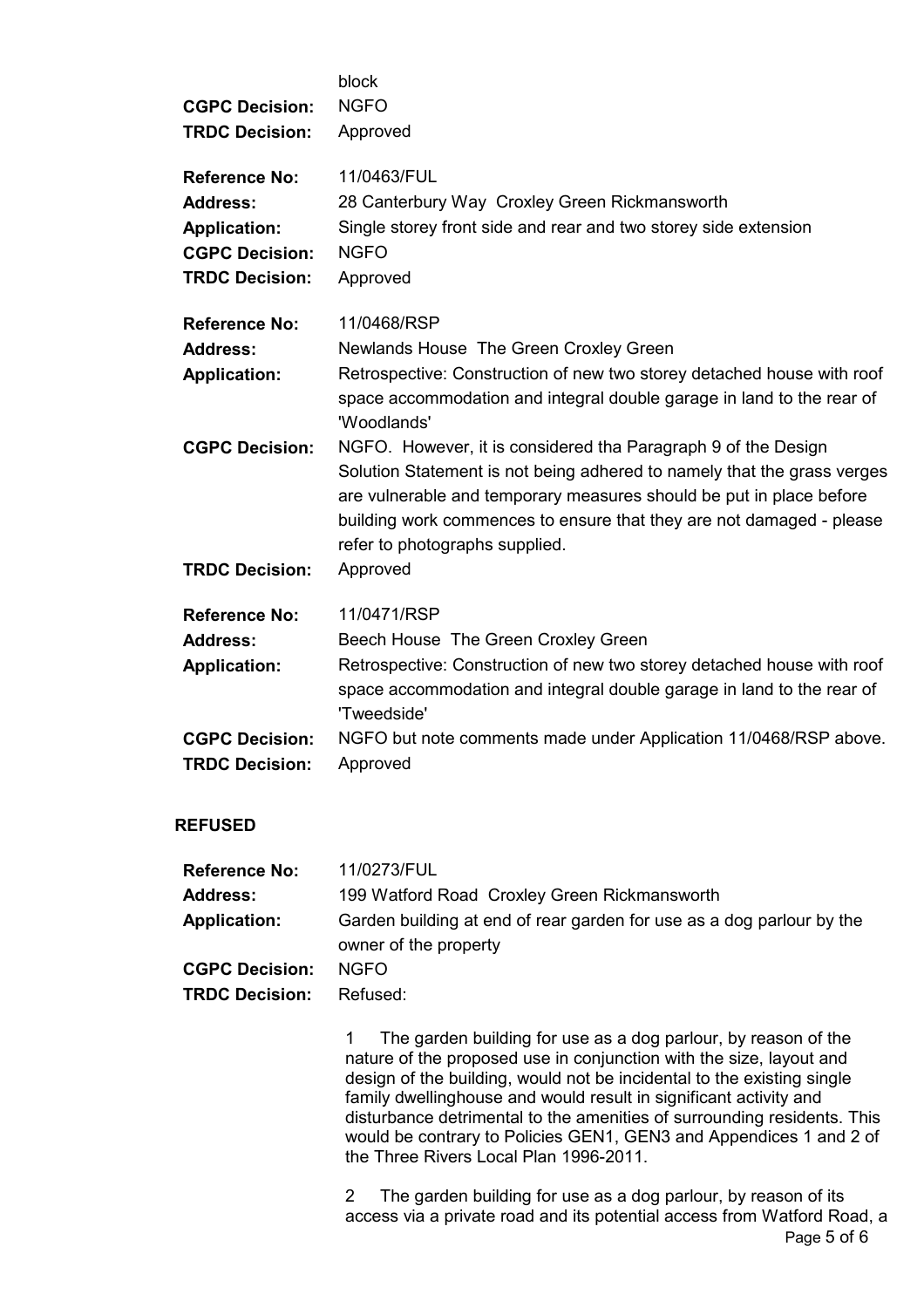| <b>CGPC Decision:</b><br><b>TRDC Decision:</b> | block<br><b>NGFO</b><br>Approved                                                                                                                                                                                                                                                                                          |
|------------------------------------------------|---------------------------------------------------------------------------------------------------------------------------------------------------------------------------------------------------------------------------------------------------------------------------------------------------------------------------|
| <b>Reference No:</b>                           | 11/0463/FUL                                                                                                                                                                                                                                                                                                               |
| <b>Address:</b>                                | 28 Canterbury Way Croxley Green Rickmansworth                                                                                                                                                                                                                                                                             |
| <b>Application:</b>                            | Single storey front side and rear and two storey side extension                                                                                                                                                                                                                                                           |
| <b>CGPC Decision:</b>                          | <b>NGFO</b>                                                                                                                                                                                                                                                                                                               |
| <b>TRDC Decision:</b>                          | Approved                                                                                                                                                                                                                                                                                                                  |
| <b>Reference No:</b>                           | 11/0468/RSP                                                                                                                                                                                                                                                                                                               |
| <b>Address:</b>                                | Newlands House The Green Croxley Green                                                                                                                                                                                                                                                                                    |
| <b>Application:</b>                            | Retrospective: Construction of new two storey detached house with roof<br>space accommodation and integral double garage in land to the rear of<br>'Woodlands'                                                                                                                                                            |
| <b>CGPC Decision:</b>                          | NGFO. However, it is considered tha Paragraph 9 of the Design<br>Solution Statement is not being adhered to namely that the grass verges<br>are vulnerable and temporary measures should be put in place before<br>building work commences to ensure that they are not damaged - please<br>refer to photographs supplied. |
| <b>TRDC Decision:</b>                          | Approved                                                                                                                                                                                                                                                                                                                  |
| <b>Reference No:</b>                           | 11/0471/RSP                                                                                                                                                                                                                                                                                                               |
| <b>Address:</b>                                | Beech House The Green Croxley Green                                                                                                                                                                                                                                                                                       |
| <b>Application:</b>                            | Retrospective: Construction of new two storey detached house with roof<br>space accommodation and integral double garage in land to the rear of<br>'Tweedside'                                                                                                                                                            |
| <b>CGPC Decision:</b><br><b>TRDC Decision:</b> | NGFO but note comments made under Application 11/0468/RSP above.<br>Approved                                                                                                                                                                                                                                              |

### REFUSED

| <b>Reference No:</b>  | 11/0273/FUL                                                                                    |
|-----------------------|------------------------------------------------------------------------------------------------|
| <b>Address:</b>       | 199 Watford Road Croxley Green Rickmansworth                                                   |
| <b>Application:</b>   | Garden building at end of rear garden for use as a dog parlour by the<br>owner of the property |
| <b>CGPC Decision:</b> | NGFO.                                                                                          |
| <b>TRDC Decision:</b> | Refused:                                                                                       |

1 The garden building for use as a dog parlour, by reason of the nature of the proposed use in conjunction with the size, layout and design of the building, would not be incidental to the existing single family dwellinghouse and would result in significant activity and disturbance detrimental to the amenities of surrounding residents. This would be contrary to Policies GEN1, GEN3 and Appendices 1 and 2 of the Three Rivers Local Plan 1996-2011.

Page 5 of 6 2 The garden building for use as a dog parlour, by reason of its access via a private road and its potential access from Watford Road, a